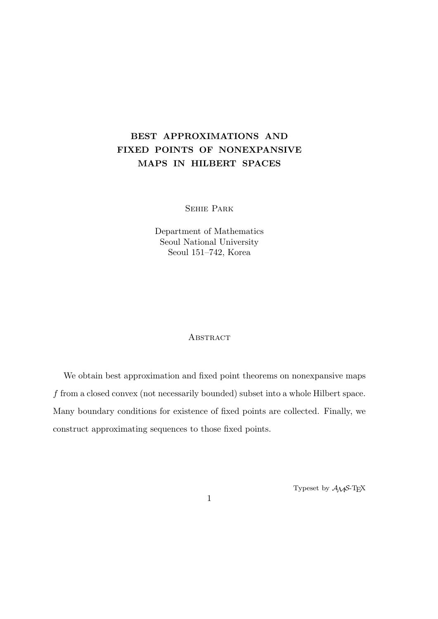# **BEST APPROXIMATIONS AND FIXED POINTS OF NONEXPANSIVE MAPS IN HILBERT SPACES**

Sehie Park

Department of Mathematics Seoul National University Seoul 151–742, Korea

## **ABSTRACT**

We obtain best approximation and fixed point theorems on nonexpansive maps *f* from a closed convex (not necessarily bounded) subset into a whole Hilbert space. Many boundary conditions for existence of fixed points are collected. Finally, we construct approximating sequences to those fixed points.

Typeset by  $A_{\mathcal{M}}S$ -T<sub>E</sub>X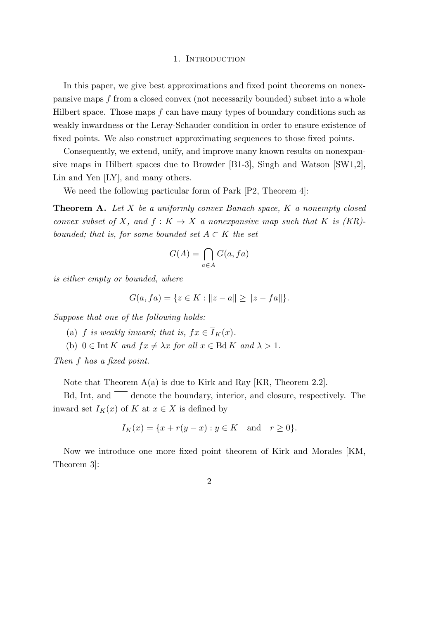#### 1. INTRODUCTION

In this paper, we give best approximations and fixed point theorems on nonexpansive maps *f* from a closed convex (not necessarily bounded) subset into a whole Hilbert space. Those maps *f* can have many types of boundary conditions such as weakly inwardness or the Leray-Schauder condition in order to ensure existence of fixed points. We also construct approximating sequences to those fixed points.

Consequently, we extend, unify, and improve many known results on nonexpansive maps in Hilbert spaces due to Browder [B1-3], Singh and Watson [SW1,2], Lin and Yen [LY], and many others.

We need the following particular form of Park  $[P2, Theorem 4]$ :

**Theorem A.** *Let X be a uniformly convex Banach space, K a nonempty closed convex subset of X, and*  $f: K \to X$  *a nonexpansive map such that K is (KR)bounded; that is, for some bounded set*  $A \subset K$  *the set* 

$$
G(A) = \bigcap_{a \in A} G(a, fa)
$$

*is either empty or bounded, where*

$$
G(a, fa) = \{ z \in K : ||z - a|| \ge ||z - fa|| \}.
$$

*Suppose that one of the following holds:*

- (a) *f* is weakly inward; that is,  $fx \in \overline{I}_K(x)$ .
- (b)  $0 \in \text{Int } K$  *and*  $fx \neq \lambda x$  *for all*  $x \in \text{Bd } K$  *and*  $\lambda > 1$ *.*

*Then f has a fixed point.*

Note that Theorem  $A(a)$  is due to Kirk and Ray [KR, Theorem 2.2].

 $Bd$ , Int, and  $\overline{\phantom{a}}$  denote the boundary, interior, and closure, respectively. The inward set  $I_K(x)$  of  $K$  at  $x \in X$  is defined by

$$
I_K(x) = \{x + r(y - x) : y \in K \text{ and } r \ge 0\}.
$$

Now we introduce one more fixed point theorem of Kirk and Morales [KM, Theorem 3]:

2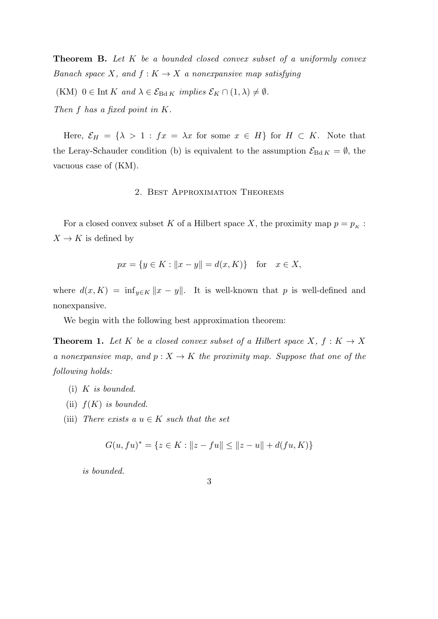**Theorem B.** *Let K be a bounded closed convex subset of a uniformly convex Banach space*  $X$ *, and*  $f: K \to X$  *a nonexpansive map satisfying* 

 $(KM)$   $0 \in \text{Int } K$  and  $\lambda \in \mathcal{E}_{\text{Bd } K}$  *implies*  $\mathcal{E}_K \cap (1, \lambda) \neq \emptyset$ *.* 

*Then f has a fixed point in K.*

Here,  $\mathcal{E}_H = {\lambda > 1 : fx = \lambda x \text{ for some } x \in H}$  for  $H \subset K$ . Note that the Leray-Schauder condition (b) is equivalent to the assumption  $\mathcal{E}_{Bd K} = \emptyset$ , the vacuous case of (KM).

## 2. Best Approximation Theorems

For a closed convex subset  $K$  of a Hilbert space  $X,$  the proximity map  $p = p_K$  :  $X \to K$  is defined by

$$
px = \{y \in K : ||x - y|| = d(x, K)\}\
$$
for  $x \in X$ ,

where  $d(x, K) = \inf_{y \in K} ||x - y||$ . It is well-known that *p* is well-defined and nonexpansive.

We begin with the following best approximation theorem:

**Theorem 1.** Let *K* be a closed convex subset of a Hilbert space  $X, f: K \to X$ *a nonexpansive map, and*  $p: X \to K$  *the proximity map. Suppose that one of the following holds:*

- (i) *K is bounded.*
- (ii) *f*(*K*) *is bounded.*
- (iii) *There exists a*  $u \in K$  *such that the set*

$$
G(u, fu)^* = \{ z \in K : ||z - fu|| \le ||z - u|| + d(fu, K) \}
$$

*is bounded.*

$$
\phantom{0}3
$$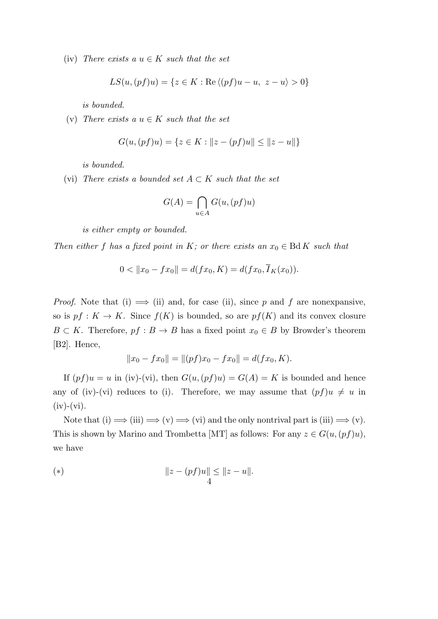(iv) *There exists a*  $u \in K$  *such that the set* 

$$
LS(u, (pf)u) = \{ z \in K : \text{Re}\langle (pf)u - u, z - u \rangle > 0 \}
$$

*is bounded.*

(v) *There exists a*  $u \in K$  *such that the set* 

$$
G(u, (pf)u) = \{ z \in K : ||z - (pf)u|| \le ||z - u|| \}
$$

*is bounded.*

(vi) *There exists a bounded set*  $A \subset K$  *such that the set* 

$$
G(A) = \bigcap_{u \in A} G(u, (pf)u)
$$

*is either empty or bounded.*

*Then either f has a fixed point in K; or there exists an*  $x_0 \in B\mathrm{d}K$  *such that* 

$$
0 < \|x_0 - fx_0\| = d(fx_0, K) = d(fx_0, \overline{I}_K(x_0)).
$$

*Proof.* Note that (i)  $\implies$  (ii) and, for case (ii), since p and f are nonexpansive, so is  $pf: K \to K$ . Since  $f(K)$  is bounded, so are  $pf(K)$  and its convex closure *B*  $\subset$  *K*. Therefore,  $pf : B \to B$  has a fixed point  $x_0 \in B$  by Browder's theorem [B2]. Hence,

$$
||x_0 - fx_0|| = ||(pf)x_0 - fx_0|| = d(fx_0, K).
$$

If  $(pf)u = u$  in (iv)-(vi), then  $G(u, (pf)u) = G(A) = K$  is bounded and hence any of (iv)-(vi) reduces to (i). Therefore, we may assume that  $(pf)u \neq u$  in  $(iv)$ - $(vi)$ .

Note that  $(i) \Longrightarrow (iii) \Longrightarrow (v) \Longrightarrow (vi)$  and the only nontrival part is  $(iii) \Longrightarrow (v)$ . This is shown by Marino and Trombetta [MT] as follows: For any  $z \in G(u,(pf)u)$ , we have

(\*) 
$$
||z - (pf)u|| \le ||z - u||
$$
.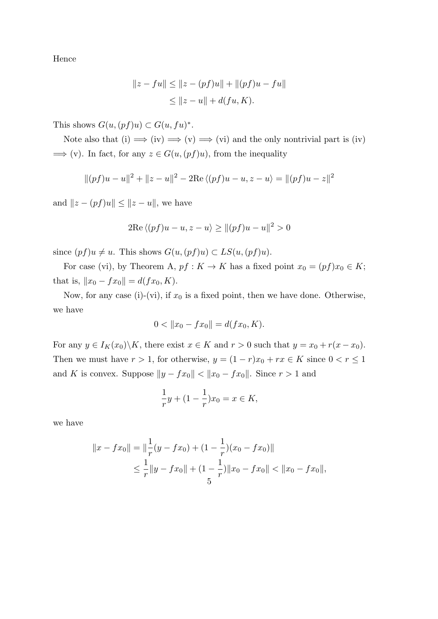Hence

$$
||z - fu|| \le ||z - (pf)u|| + ||(pf)u - fu||
$$
  

$$
\le ||z - u|| + d(fu, K).
$$

This shows  $G(u, (pf)u) \subset G(u, fu)^*$ .

Note also that (i)  $\implies$  (iv)  $\implies$  (v)  $\implies$  (vi) and the only nontrivial part is (iv)  $\implies$  (v). In fact, for any  $z \in G(u, (pf)u)$ , from the inequality

$$
||(pf)u - u||2 + ||z - u||2 - 2Re\langle (pf)u - u, z - u \rangle = ||(pf)u - z||2
$$

and  $||z - (pf)u|| \leq ||z - u||$ , we have

$$
2\mathrm{Re}\langle (pf)u - u, z - u \rangle \ge ||(pf)u - u||^2 > 0
$$

since  $(pf)u \neq u$ . This shows  $G(u,(pf)u) \subset LS(u,(pf)u)$ .

For case (vi), by Theorem A,  $pf: K \to K$  has a fixed point  $x_0 = (pf)x_0 \in K$ ; that is,  $||x_0 - fx_0|| = d(fx_0, K)$ .

Now, for any case (i)-(vi), if  $x_0$  is a fixed point, then we have done. Otherwise, we have

$$
0 < ||x_0 - fx_0|| = d(fx_0, K).
$$

For any  $y \in I_K(x_0) \backslash K$ , there exist  $x \in K$  and  $r > 0$  such that  $y = x_0 + r(x - x_0)$ . Then we must have  $r > 1$ , for otherwise,  $y = (1 - r)x_0 + rx \in K$  since  $0 < r \le 1$ and *K* is convex. Suppose  $||y - fx_0|| < ||x_0 - fx_0||$ . Since  $r > 1$  and

$$
\frac{1}{r}y + (1 - \frac{1}{r})x_0 = x \in K,
$$

we have

$$
||x - fx_0|| = ||\frac{1}{r}(y - fx_0) + (1 - \frac{1}{r})(x_0 - fx_0)||
$$
  
\n
$$
\leq \frac{1}{r}||y - fx_0|| + (1 - \frac{1}{r})||x_0 - fx_0|| < ||x_0 - fx_0||,
$$
  
\n
$$
\leq \frac{1}{r}||x - fx_0|| + (1 - \frac{1}{r})||x_0 - fx_0|| < ||x_0 - fx_0||,
$$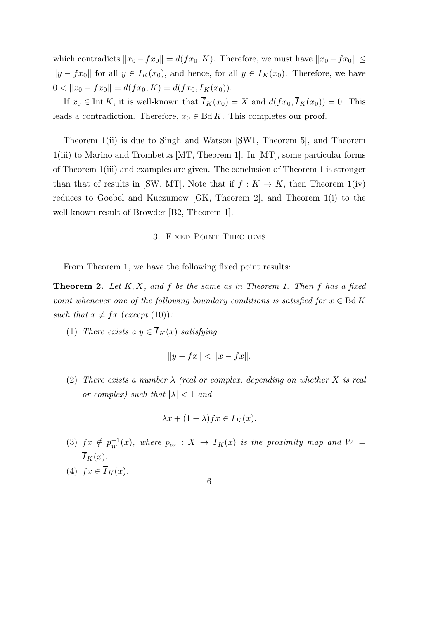which contradicts  $||x_0 - fx_0|| = d(fx_0, K)$ . Therefore, we must have  $||x_0 - fx_0|| \le$  $|y - fx_0|$  for all *y* ∈ *I<sub>K</sub>*(*x*<sub>0</sub>), and hence, for all *y* ∈ *I<sub>K</sub>*(*x*<sub>0</sub>). Therefore, we have  $0 < ||x_0 - fx_0|| = d(fx_0, K) = d(fx_0, \overline{I}_K(x_0)).$ 

If  $x_0 \in \text{Int } K$ , it is well-known that  $\overline{I}_K(x_0) = X$  and  $d(fx_0, \overline{I}_K(x_0)) = 0$ . This leads a contradiction. Therefore,  $x_0 \in \text{Bd } K$ . This completes our proof.

Theorem 1(ii) is due to Singh and Watson [SW1, Theorem 5], and Theorem 1(iii) to Marino and Trombetta [MT, Theorem 1]. In [MT], some particular forms of Theorem 1(iii) and examples are given. The conclusion of Theorem 1 is stronger than that of results in [SW, MT]. Note that if  $f: K \to K$ , then Theorem 1(iv) reduces to Goebel and Kuczumow [GK, Theorem 2], and Theorem 1(i) to the well-known result of Browder [B2, Theorem 1].

## 3. Fixed Point Theorems

From Theorem 1, we have the following fixed point results:

**Theorem 2.** *Let K, X, and f be the same as in Theorem 1. Then f has a fixed point whenever one of the following boundary conditions is satisfied for*  $x \in \text{Bd } K$ such that  $x \neq fx$  (except (10)):

(1) *There exists a*  $y \in \overline{I}_K(x)$  *satisfying* 

$$
||y - fx|| < ||x - fx||.
$$

(2) *There exists a number λ (real or complex, depending on whether X is real or complex) such that*  $|\lambda| < 1$  *and* 

$$
\lambda x + (1 - \lambda)fx \in \overline{I}_K(x).
$$

- (3)  $fx \notin p_w^{-1}(x)$ , where  $p_w : X \to \overline{I}_K(x)$  is the proximity map and  $W =$  $\overline{I}_K(x)$ .
- $f(x)$   $fx \in \overline{I}_K(x)$ .

6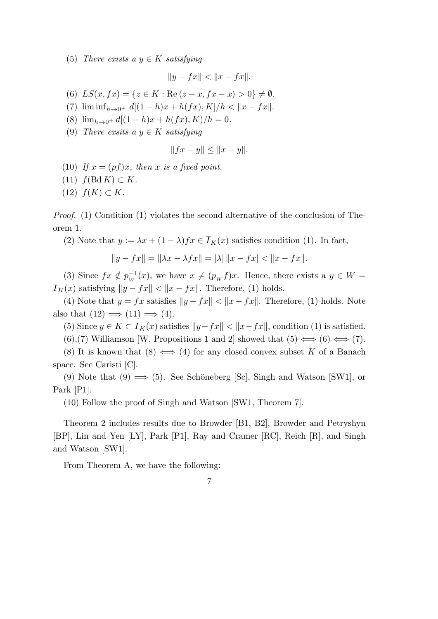(5) *There exists a*  $y \in K$  *satisfying* 

$$
||y - fx|| < ||x - fx||.
$$

(6)  $LS(x, fx) = \{z \in K : \text{Re}\langle z - x, fx - x \rangle > 0\} \neq \emptyset.$ 

- (7)  $\liminf_{h \to 0^+} d[(1-h)x + h(fx), K]/h < ||x fx||.$
- (8)  $\lim_{h\to 0^+} d[(1-h)x + h(fx), K)/h = 0.$
- (9) *There exsits a*  $y \in K$  *satisfying*

$$
||fx - y|| \le ||x - y||.
$$

- (10) If  $x = (pf)x$ *, then*  $x$  *is a fixed point.*
- $f(\text{Bd } K) \subset K$ *.*
- (12)  $f(K) \subset K$ *.*

*Proof.* (1) Condition (1) violates the second alternative of the conclusion of Theorem 1.

(2) Note that  $y := \lambda x + (1 - \lambda) f x \in \overline{I}_K(x)$  satisfies condition (1). In fact,

$$
||y - fx|| = ||\lambda x - \lambda fx|| = |\lambda| ||x - fx| < ||x - fx||.
$$

(3) Since  $fx \notin p_w^{-1}(x)$ , we have  $x \neq (p_w f)x$ . Hence, there exists a  $y \in W$  $\overline{I}_K(x)$  satisfying  $||y - fx|| < ||x - fx||$ . Therefore, (1) holds.

(4) Note that  $y = fx$  satisfies  $||y - fx|| < ||x - fx||$ . Therefore, (1) holds. Note also that  $(12) \implies (11) \implies (4)$ .

(5) Since  $y \in K \subset \overline{I}_K(x)$  satisfies  $||y - fx|| < ||x - fx||$ , condition (1) is satisfied.

(6),(7) Williamson [W, Propositions 1 and 2] showed that  $(5) \iff (6) \iff (7)$ .

(8) It is known that  $(8) \iff (4)$  for any closed convex subset *K* of a Banach space. See Caristi [C].

(9) Note that  $(9) \implies (5)$ . See Schöneberg [Sc], Singh and Watson [SW1], or Park [P1].

(10) Follow the proof of Singh and Watson [SW1, Theorem 7].

Theorem 2 includes results due to Browder [B1, B2], Browder and Petryshyn [BP], Lin and Yen [LY], Park [P1], Ray and Cramer [RC], Reich [R], and Singh and Watson [SW1].

From Theorem A, we have the following: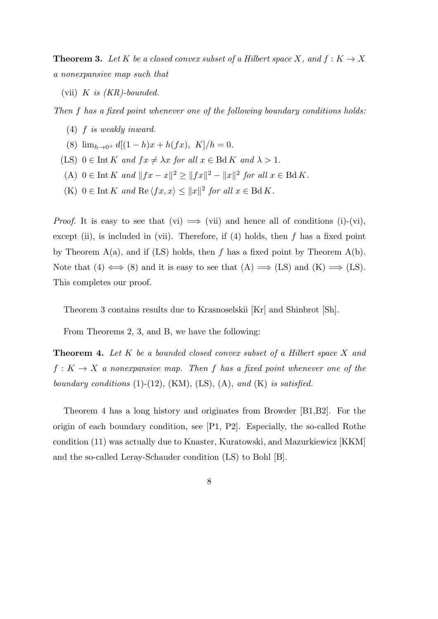**Theorem 3.** Let K be a closed convex subset of a Hilbert space X, and  $f: K \to X$ *a nonexpansive map such that*

(vii) *K is (KR)-bounded.*

*Then f has a fixed point whenever one of the following boundary conditions holds:*

- (4) *f is weakly inward.*
- (8)  $\lim_{h\to 0^+} d[(1-h)x + h(fx), K]/h = 0.$
- (LS)  $0 \in \text{Int } K$  *and*  $fx \neq \lambda x$  *for all*  $x \in \text{Bd } K$  *and*  $\lambda > 1$ *.*
- $(A)$   $0 \in \text{Int } K$  and  $||fx x||^2 \ge ||fx||^2 ||x||^2$  for all  $x \in \text{Bd } K$ .
- $(K)$   $0 \in \text{Int } K$  *and*  $\text{Re } \langle fx, x \rangle \leq ||x||^2$  *for all*  $x \in \text{Bd } K$ .

*Proof.* It is easy to see that (vi)  $\implies$  (vii) and hence all of conditions (i)-(vi), except (ii), is included in (vii). Therefore, if (4) holds, then *f* has a fixed point by Theorem  $A(a)$ , and if (LS) holds, then  $f$  has a fixed point by Theorem  $A(b)$ . Note that  $(4) \iff (8)$  and it is easy to see that  $(A) \implies (LS)$  and  $(K) \implies (LS)$ . This completes our proof.

Theorem 3 contains results due to Krasnoselskii [Kr] and Shinbrot [Sh].

From Theorems 2, 3, and B, we have the following:

**Theorem 4.** *Let K be a bounded closed convex subset of a Hilbert space X and*  $f: K \to X$  *a nonexpansive map. Then f has a fixed point whenever one of the boundary conditions* (1)-(12), (KM), (LS), (A), *and* (K) *is satisfied.*

Theorem 4 has a long history and originates from Browder [B1,B2]. For the origin of each boundary condition, see [P1, P2]. Especially, the so-called Rothe condition (11) was actually due to Knaster, Kuratowski, and Mazurkiewicz [KKM] and the so-called Leray-Schauder condition (LS) to Bohl [B].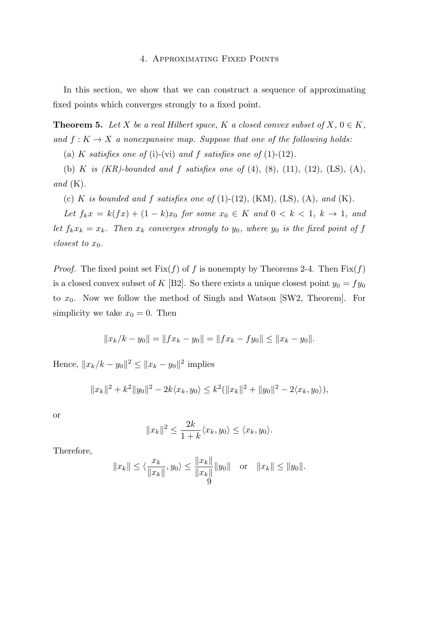#### 4. Approximating Fixed Points

In this section, we show that we can construct a sequence of approximating fixed points which converges strongly to a fixed point.

**Theorem 5.** Let *X* be a real Hilbert space, *K* a closed convex subset of *X*,  $0 \in K$ , *and*  $f: K \to X$  *a nonexpansive map. Suppose that one of the following holds:* 

(a) *K satisfies one of* (i)-(vi) *and*  $f$  *satisfies one of* (1)-(12)*.* 

(b) *K is (KR)-bounded and f satisfies one of* (4), (8), (11), (12), (LS), (A)*, and* (K)*.*

(c) *K is bounded and f satisfies one of* (1)-(12), (KM), (LS), (A), and (K).

*Let*  $f_k x = k(fx) + (1 - k)x_0$  *for some*  $x_0 \in K$  *and*  $0 < k < 1$ ,  $k \to 1$ , *and let*  $f_k x_k = x_k$ *. Then*  $x_k$  *converges strongly to*  $y_0$ *, where*  $y_0$  *is the fixed point of*  $f$ *closest to*  $x_0$ *.* 

*Proof.* The fixed point set  $Fix(f)$  of f is nonempty by Theorems 2-4. Then  $Fix(f)$ is a closed convex subset of *K* [B2]. So there exists a unique closest point  $y_0 = fy_0$ to *x*0. Now we follow the method of Singh and Watson [SW2, Theorem]. For simplicity we take  $x_0 = 0$ . Then

$$
||x_k/k - y_0|| = ||fx_k - y_0|| = ||fx_k - fy_0|| \le ||x_k - y_0||.
$$

Hence,  $||x_k/k - y_0||^2 \le ||x_k - y_0||^2$  implies

$$
||x_k||^2 + k^2 ||y_0||^2 - 2k \langle x_k, y_0 \rangle \le k^2 (||x_k||^2 + ||y_0||^2 - 2 \langle x_k, y_0 \rangle),
$$

or

$$
||x_k||^2 \le \frac{2k}{1+k} \langle x_k, y_0 \rangle \le \langle x_k, y_0 \rangle.
$$

Therefore,

$$
||x_k|| \le \langle \frac{x_k}{||x_k||}, y_0 \rangle \le \frac{||x_k||}{||x_k||} ||y_0||
$$
 or  $||x_k|| \le ||y_0||$ .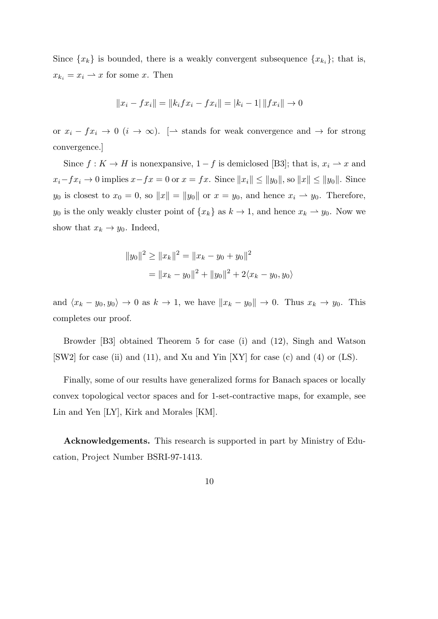Since  $\{x_k\}$  is bounded, there is a weakly convergent subsequence  $\{x_{k_i}\}$ ; that is,  $x_{k_i} = x_i \rightarrow x$  for some *x*. Then

$$
||x_i - fx_i|| = ||k_i fx_i - fx_i|| = |k_i - 1| ||fx_i|| \to 0
$$

or  $x_i - fx_i \to 0$  ( $i \to \infty$ ). [→ stands for weak convergence and  $\to$  for strong convergence.]

Since  $f: K \to H$  is nonexpansive,  $1 - f$  is demiclosed [B3]; that is,  $x_i \to x$  and  $x_i - fx_i \to 0$  implies  $x - fx = 0$  or  $x = fx$ . Since  $||x_i|| \le ||y_0||$ , so  $||x|| \le ||y_0||$ . Since *y*<sup>0</sup> is closest to  $x_0 = 0$ , so  $||x|| = ||y_0||$  or  $x = y_0$ , and hence  $x_i \rightharpoonup y_0$ . Therefore, *y*<sup>0</sup> is the only weakly cluster point of  ${x_k}$  as  $k \to 1$ , and hence  $x_k \to y_0$ . Now we show that  $x_k \to y_0$ . Indeed,

$$
||y_0||^2 \ge ||x_k||^2 = ||x_k - y_0 + y_0||^2
$$
  
= 
$$
||x_k - y_0||^2 + ||y_0||^2 + 2\langle x_k - y_0, y_0 \rangle
$$

and  $\langle x_k - y_0, y_0 \rangle \to 0$  as  $k \to 1$ , we have  $||x_k - y_0|| \to 0$ . Thus  $x_k \to y_0$ . This completes our proof.

Browder [B3] obtained Theorem 5 for case (i) and (12), Singh and Watson [SW2] for case (ii) and (11), and Xu and Yin [XY] for case (c) and (4) or (LS).

Finally, some of our results have generalized forms for Banach spaces or locally convex topological vector spaces and for 1-set-contractive maps, for example, see Lin and Yen [LY], Kirk and Morales [KM].

**Acknowledgements.** This research is supported in part by Ministry of Education, Project Number BSRI-97-1413.

$$
10\quad
$$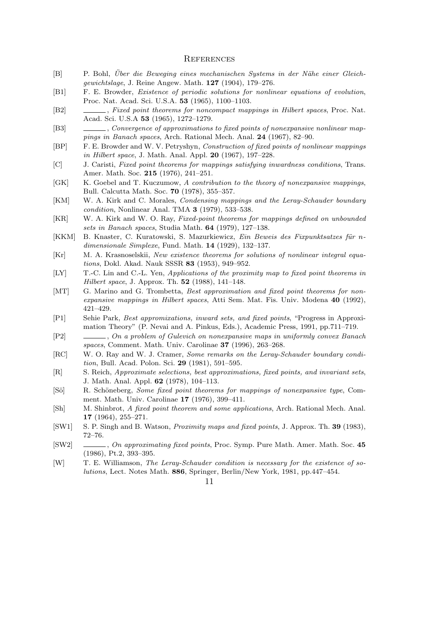#### **REFERENCES**

- [B] P. Bohl, *Uber die Beweging eines mechanischen Systems in der N¨ahe einer Gleich- ¨ gewichtslage*, J. Reine Angew. Math. **127** (1904), 179–276.
- [B1] F. E. Browder, *Existence of periodic solutions for nonlinear equations of evolution*, Proc. Nat. Acad. Sci. U.S.A. **53** (1965), 1100–1103.
- [B2] , *Fixed point theorems for noncompact mappings in Hilbert spaces*, Proc. Nat. Acad. Sci. U.S.A **53** (1965), 1272–1279.
- [B3] , *Convergence of approximations to fixed points of nonexpansive nonlinear mappings in Banach spaces*, Arch. Rational Mech. Anal. **24** (1967), 82–90.
- [BP] F. E. Browder and W. V. Petryshyn, *Construction of fixed points of nonlinear mappings in Hilbert space*, J. Math. Anal. Appl. **20** (1967), 197–228.
- [C] J. Caristi, *Fixed point theorems for mappings satisfying inwardness conditions*, Trans. Amer. Math. Soc. **215** (1976), 241–251.
- [GK] K. Goebel and T. Kuczumow, *A contribution to the theory of nonexpansive mappings*, Bull. Calcutta Math. Soc. **70** (1978), 355–357.
- [KM] W. A. Kirk and C. Morales, *Condensing mappings and the Leray-Schauder boundary condition*, Nonlinear Anal. TMA **3** (1979), 533–538.
- [KR] W. A. Kirk and W. O. Ray, *Fixed-point theorems for mappings defined on unbounded sets in Banach spaces*, Studia Math. **64** (1979), 127–138.
- [KKM] B. Knaster, C. Kuratowski, S. Mazurkiewicz, *Ein Beweis des Fixpunktsatzes für ndimensionale Simplexe*, Fund. Math. **14** (1929), 132–137.
- [Kr] M. A. Krasnoselskii, *New existence theorems for solutions of nonlinear integral equations*, Dokl. Akad. Nauk SSSR **83** (1953), 949–952.
- [LY] T.-C. Lin and C.-L. Yen, *Applications of the proximity map to fixed point theorems in Hilbert space*, J. Approx. Th. **52** (1988), 141–148.
- [MT] G. Marino and G. Trombetta, *Best approximation and fixed point theorems for nonexpansive mappings in Hilbert spaces*, Atti Sem. Mat. Fis. Univ. Modena **40** (1992), 421–429.
- [P1] Sehie Park, *Best appromixations, inward sets, and fixed points*, "Progress in Approximation Theory" (P. Nevai and A. Pinkus, Eds.), Academic Press, 1991, pp.711–719.
- [P2] , *On a problem of Gulevich on nonexpansive maps in uniformly convex Banach spaces*, Comment. Math. Univ. Carolinae **37** (1996), 263–268.
- [RC] W. O. Ray and W. J. Cramer, *Some remarks on the Leray-Schauder boundary condition*, Bull. Acad. Polon. Sci. **29** (1981), 591–595.
- [R] S. Reich, *Approximate selections, best approximations, fixed points, and invariant sets*, J. Math. Anal. Appl. **62** (1978), 104–113.
- [Sö] R. Schöneberg, *Some fixed point theorems for mappings of nonexpansive type*, Comment. Math. Univ. Carolinae **17** (1976), 399–411.
- [Sh] M. Shinbrot, *A fixed point theorem and some applications*, Arch. Rational Mech. Anal. **17** (1964), 255–271.
- [SW1] S. P. Singh and B. Watson, *Proximity maps and fixed points*, J. Approx. Th. **39** (1983), 72–76.
- [SW2] , *On approximating fixed points*, Proc. Symp. Pure Math. Amer. Math. Soc. **45** (1986), Pt.2, 393–395.
- [W] T. E. Williamson, *The Leray-Schauder condition is necessary for the existence of solutions*, Lect. Notes Math. **886**, Springer, Berlin/New York, 1981, pp.447–454.
	- 11